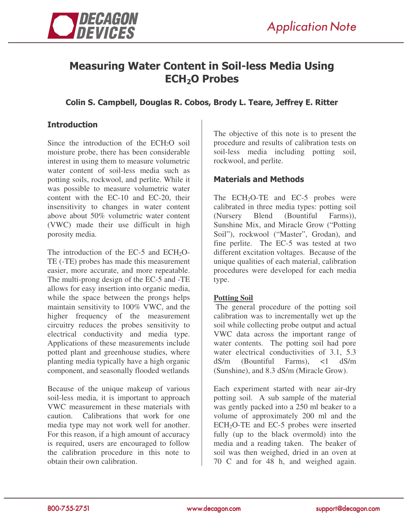

# Measuring Water Content in Soil-less Media Using ECH<sub>2</sub>O Probes

## Colin S. Campbell, Douglas R. Cobos, Brody L. Teare, Jeffrey E. Ritter

## **Introduction**

Since the introduction of the ECH2O soil moisture probe, there has been considerable interest in using them to measure volumetric water content of soil-less media such as potting soils, rockwool, and perlite. While it was possible to measure volumetric water content with the EC-10 and EC-20, their insensitivity to changes in water content above about 50% volumetric water content (VWC) made their use difficult in high porosity media.

The introduction of the EC-5 and  $ECH<sub>2</sub>O-$ TE (-TE) probes has made this measurement easier, more accurate, and more repeatable. The multi-prong design of the EC-5 and -TE allows for easy insertion into organic media, while the space between the prongs helps maintain sensitivity to 100% VWC, and the higher frequency of the measurement circuitry reduces the probes sensitivity to electrical conductivity and media type. Applications of these measurements include potted plant and greenhouse studies, where planting media typically have a high organic component, and seasonally flooded wetlands

Because of the unique makeup of various soil-less media, it is important to approach VWC measurement in these materials with caution. Calibrations that work for one media type may not work well for another. For this reason, if a high amount of accuracy is required, users are encouraged to follow the calibration procedure in this note to obtain their own calibration.

The objective of this note is to present the procedure and results of calibration tests on soil-less media including potting soil, rockwool, and perlite.

### **Materials and Methods**

The  $ECH<sub>2</sub>O-TE$  and  $EC-5$  probes were calibrated in three media types: potting soil (Nursery Blend (Bountiful Farms)), Sunshine Mix, and Miracle Grow ("Potting Soil"), rockwool ("Master", Grodan), and fine perlite. The EC-5 was tested at two different excitation voltages. Because of the unique qualities of each material, calibration procedures were developed for each media type.

#### **Potting Soil**

The general procedure of the potting soil calibration was to incrementally wet up the soil while collecting probe output and actual VWC data across the important range of water contents. The potting soil had pore water electrical conductivities of 3.1, 5.3 dS/m (Bountiful Farms), <1 dS/m (Sunshine), and 8.3 dS/m (Miracle Grow).

Each experiment started with near air-dry potting soil. A sub sample of the material was gently packed into a 250 ml beaker to a volume of approximately 200 ml and the  $ECH<sub>2</sub>O-TE$  and  $EC-5$  probes were inserted fully (up to the black overmold) into the media and a reading taken. The beaker of soil was then weighed, dried in an oven at 70 C and for 48 h, and weighed again.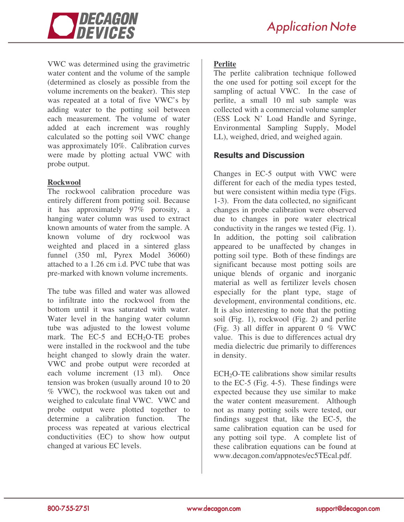

VWC was determined using the gravimetric water content and the volume of the sample (determined as closely as possible from the volume increments on the beaker). This step was repeated at a total of five VWC's by adding water to the potting soil between each measurement. The volume of water added at each increment was roughly calculated so the potting soil VWC change was approximately 10%. Calibration curves were made by plotting actual VWC with probe output.

#### **Rockwool**

The rockwool calibration procedure was entirely different from potting soil. Because it has approximately 97% porosity, a hanging water column was used to extract known amounts of water from the sample. A known volume of dry rockwool was weighted and placed in a sintered glass funnel (350 ml, Pyrex Model 36060) attached to a 1.26 cm i.d. PVC tube that was pre-marked with known volume increments.

The tube was filled and water was allowed to infiltrate into the rockwool from the bottom until it was saturated with water. Water level in the hanging water column tube was adjusted to the lowest volume mark. The EC-5 and ECH<sub>2</sub>O-TE probes were installed in the rockwool and the tube height changed to slowly drain the water. VWC and probe output were recorded at each volume increment (13 ml). Once tension was broken (usually around 10 to 20 % VWC), the rockwool was taken out and weighed to calculate final VWC. VWC and probe output were plotted together to determine a calibration function. The process was repeated at various electrical conductivities (EC) to show how output changed at various EC levels.

## **Perlite**

The perlite calibration technique followed the one used for potting soil except for the sampling of actual VWC. In the case of perlite, a small 10 ml sub sample was collected with a commercial volume sampler (ESS Lock N' Load Handle and Syringe, Environmental Sampling Supply, Model LL), weighed, dried, and weighed again.

## **Results and Discussion**

Changes in EC-5 output with VWC were different for each of the media types tested, but were consistent within media type (Figs. 1-3). From the data collected, no significant changes in probe calibration were observed due to changes in pore water electrical conductivity in the ranges we tested (Fig. 1). In addition, the potting soil calibration appeared to be unaffected by changes in potting soil type. Both of these findings are significant because most potting soils are unique blends of organic and inorganic material as well as fertilizer levels chosen especially for the plant type, stage of development, environmental conditions, etc. It is also interesting to note that the potting soil (Fig. 1), rockwool (Fig. 2) and perlite (Fig. 3) all differ in apparent  $0\%$  VWC value. This is due to differences actual dry media dielectric due primarily to differences in density.

 $ECH<sub>2</sub>O-TE$  calibrations show similar results to the EC-5 (Fig. 4-5). These findings were expected because they use similar to make the water content measurement. Although not as many potting soils were tested, our findings suggest that, like the EC-5, the same calibration equation can be used for any potting soil type. A complete list of these calibration equations can be found at www.decagon.com/appnotes/ec5TEcal.pdf.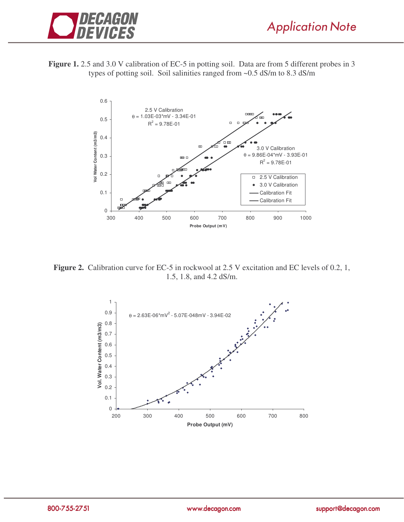





**Figure 2.** Calibration curve for EC-5 in rockwool at 2.5 V excitation and EC levels of 0.2, 1, 1.5, 1.8, and 4.2 dS/m.